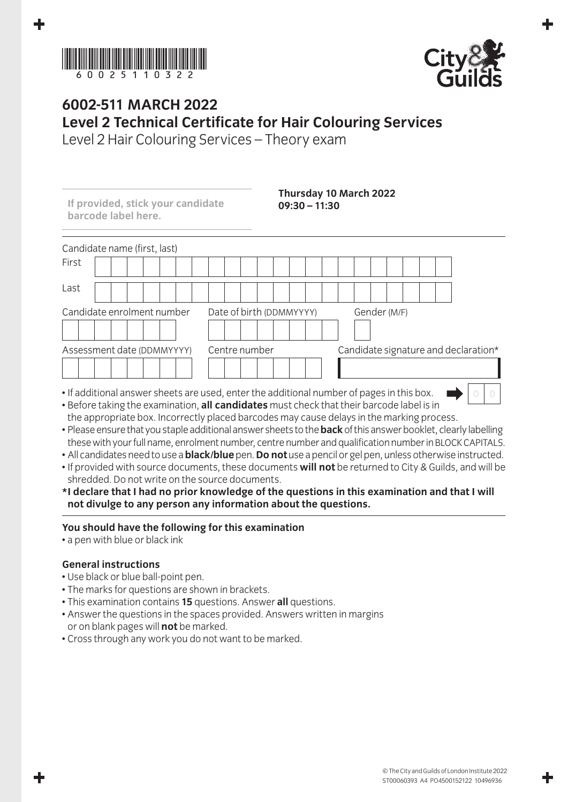



## **6002-511 March 2022 Level 2 Technical Certificate for Hair Colouring Services**

Level 2 Hair Colouring Services – Theory exam

| If provided, stick your candidate<br>barcode label here. | $09:30 - 11:30$                                                                                                                                                                                             | Thursday 10 March 2022               |
|----------------------------------------------------------|-------------------------------------------------------------------------------------------------------------------------------------------------------------------------------------------------------------|--------------------------------------|
| Candidate name (first, last)                             |                                                                                                                                                                                                             |                                      |
| First                                                    |                                                                                                                                                                                                             |                                      |
| Last                                                     |                                                                                                                                                                                                             |                                      |
| Candidate enrolment number                               | Date of birth (DDMMYYYY)                                                                                                                                                                                    | Gender (M/F)                         |
| Assessment date (DDMMYYYY)                               | Centre number                                                                                                                                                                                               | Candidate signature and declaration* |
|                                                          | • If additional answer sheets are used, enter the additional number of pages in this box.<br>rested and the contract of the contract of the contract of the contract of the contract of the contract of the |                                      |

- Before taking the examination, **all candidates** must check that their barcode label is in the appropriate box. Incorrectly placed barcodes may cause delays in the marking process.
- Please ensure that you staple additional answer sheets to the **back** of this answer booklet, clearly labelling these with your full name, enrolment number, centre number and qualification number in BLOCK CAPITALS.
- All candidates need to use a **black/blue** pen. **Do not** use a pencil or gel pen, unless otherwise instructed.
- If provided with source documents, these documents **will not** be returned to City & Guilds, and will be shredded. Do not write on the source documents.
- **\* I declare that I had no prior knowledge of the questions in this examination and that I will not divulge to any person any information about the questions.**

## **You should have the following for this examination**

• a pen with blue or black ink

## **General instructions**

- Use black or blue ball-point pen.
- The marks for questions are shown in brackets.
- This examination contains **15** questions. Answer **all** questions.
- Answer the questions in the spaces provided. Answers written in margins or on blank pages will **not** be marked.
- Cross through any work you do not want to be marked.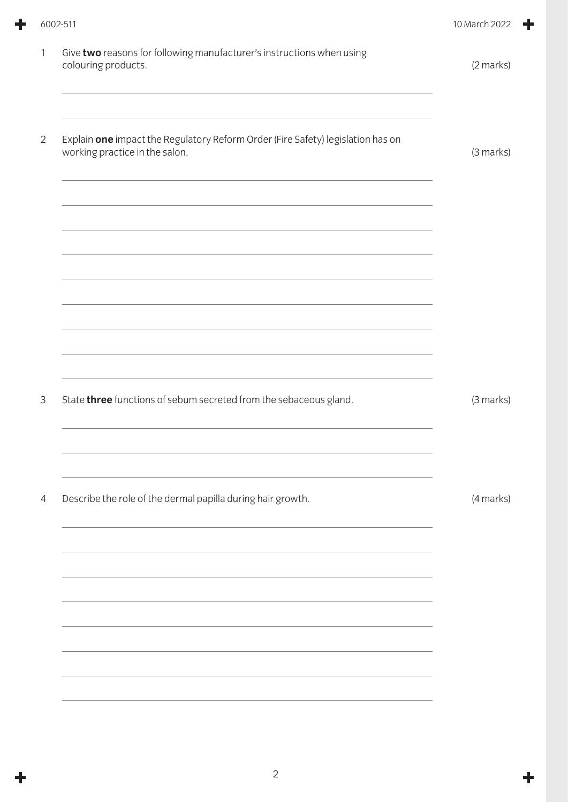| Give two reasons for following manufacturer's instructions when using<br>colouring products.<br>Explain one impact the Regulatory Reform Order (Fire Safety) legislation has on<br>working practice in the salon. | (2 marks) |
|-------------------------------------------------------------------------------------------------------------------------------------------------------------------------------------------------------------------|-----------|
|                                                                                                                                                                                                                   |           |
|                                                                                                                                                                                                                   | (3 marks) |
|                                                                                                                                                                                                                   |           |
| <u> 1989 - Johann Stoff, amerikansk politiker (* 1989)</u>                                                                                                                                                        |           |
| State three functions of sebum secreted from the sebaceous gland.                                                                                                                                                 | (3 marks) |
|                                                                                                                                                                                                                   |           |
| Describe the role of the dermal papilla during hair growth.                                                                                                                                                       | (4 marks) |
|                                                                                                                                                                                                                   |           |
| <u> 1989 - Johann Stoff, deutscher Stoff, der Stoff, der Stoff, der Stoff, der Stoff, der Stoff, der Stoff, der S</u>                                                                                             |           |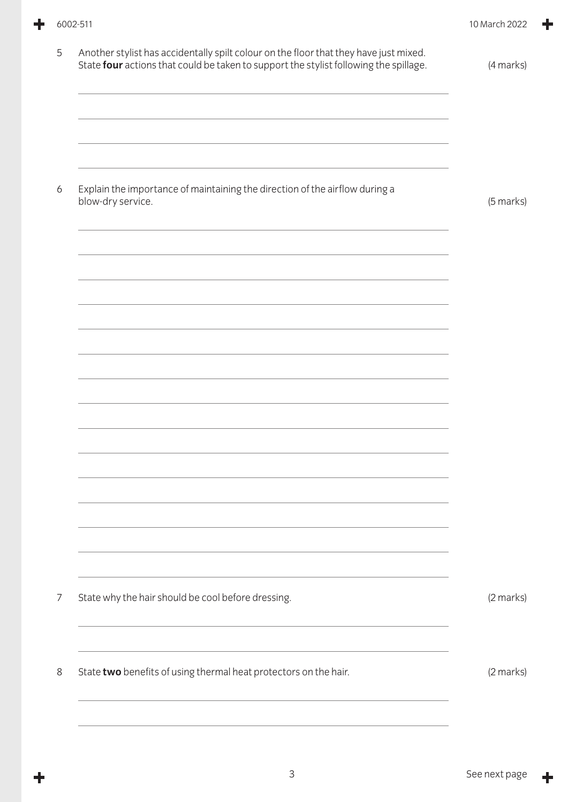÷

÷

| Another stylist has accidentally spilt colour on the floor that they have just mixed.<br>State four actions that could be taken to support the stylist following the spillage. | (4 marks) |
|--------------------------------------------------------------------------------------------------------------------------------------------------------------------------------|-----------|
|                                                                                                                                                                                |           |
| Explain the importance of maintaining the direction of the airflow during a<br>blow-dry service.                                                                               | (5 marks) |
|                                                                                                                                                                                |           |
|                                                                                                                                                                                |           |
|                                                                                                                                                                                |           |
|                                                                                                                                                                                |           |
|                                                                                                                                                                                |           |
| State why the hair should be cool before dressing.                                                                                                                             | (2 marks) |
| State two benefits of using thermal heat protectors on the hair.                                                                                                               | (2 marks) |

 $\ddagger$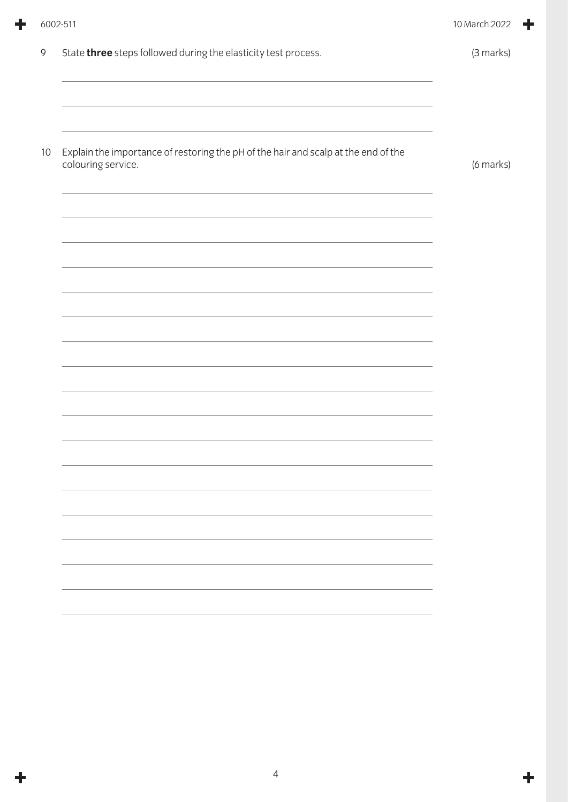|    | 6002-511                                                                                                         | 10 March 2022 |  |
|----|------------------------------------------------------------------------------------------------------------------|---------------|--|
| 9  | State three steps followed during the elasticity test process.                                                   | (3 marks)     |  |
| 10 | Explain the importance of restoring the pH of the hair and scalp at the end of the<br>colouring service.         | (6 marks)     |  |
|    |                                                                                                                  |               |  |
|    | and the control of the control of the control of the control of the control of the control of the control of the |               |  |
|    |                                                                                                                  |               |  |
|    |                                                                                                                  |               |  |
|    |                                                                                                                  |               |  |
|    |                                                                                                                  |               |  |

ᆃ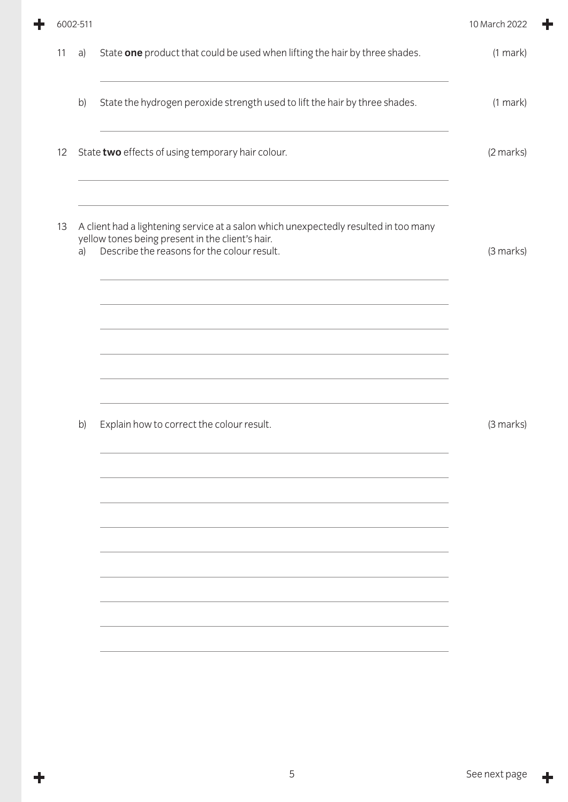| 6002-511 |    |                                                                                                                                                                                                                                                                                              | 10 March 2022 |
|----------|----|----------------------------------------------------------------------------------------------------------------------------------------------------------------------------------------------------------------------------------------------------------------------------------------------|---------------|
| 11       | a) | State one product that could be used when lifting the hair by three shades.                                                                                                                                                                                                                  | $(1$ mark $)$ |
|          | b) | State the hydrogen peroxide strength used to lift the hair by three shades.                                                                                                                                                                                                                  | $(1$ mark $)$ |
| 12       |    | State two effects of using temporary hair colour.<br>and the control of the control of the control of the control of the control of the control of the control of the                                                                                                                        | (2 marks)     |
| 13       | a) | A client had a lightening service at a salon which unexpectedly resulted in too many<br>yellow tones being present in the client's hair.<br>Describe the reasons for the colour result.                                                                                                      | (3 marks)     |
|          |    | <u> 1989 - Johann Stoff, amerikansk politiker (d. 1989)</u><br>the control of the control of the control of the control of the control of the control of the control of the control of the control of the control of the control of the control of the control of the control of the control |               |
|          |    |                                                                                                                                                                                                                                                                                              |               |
|          | b) | Explain how to correct the colour result.                                                                                                                                                                                                                                                    | (3 marks)     |
|          |    |                                                                                                                                                                                                                                                                                              |               |
|          |    |                                                                                                                                                                                                                                                                                              |               |
|          |    |                                                                                                                                                                                                                                                                                              |               |
|          |    |                                                                                                                                                                                                                                                                                              |               |
|          |    |                                                                                                                                                                                                                                                                                              |               |

٠

 $\ddagger$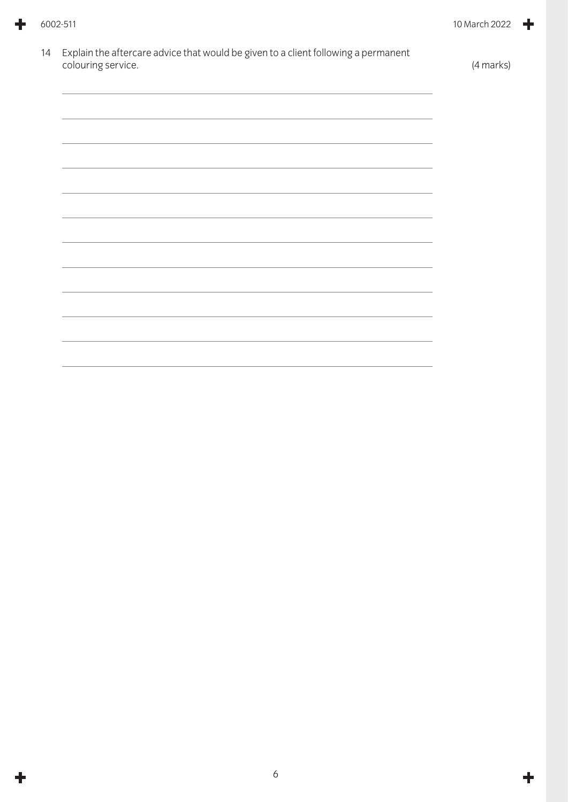| 14 | Explain the aftercare advice that would be given to a client following a permanent<br>colouring service. | (4 marks) |
|----|----------------------------------------------------------------------------------------------------------|-----------|
|    |                                                                                                          |           |
|    |                                                                                                          |           |
|    | <u> 1989 - Johann Stoff, amerikansk politiker (* 1908)</u>                                               |           |
|    |                                                                                                          |           |
|    |                                                                                                          |           |
|    |                                                                                                          |           |
|    |                                                                                                          |           |
|    |                                                                                                          |           |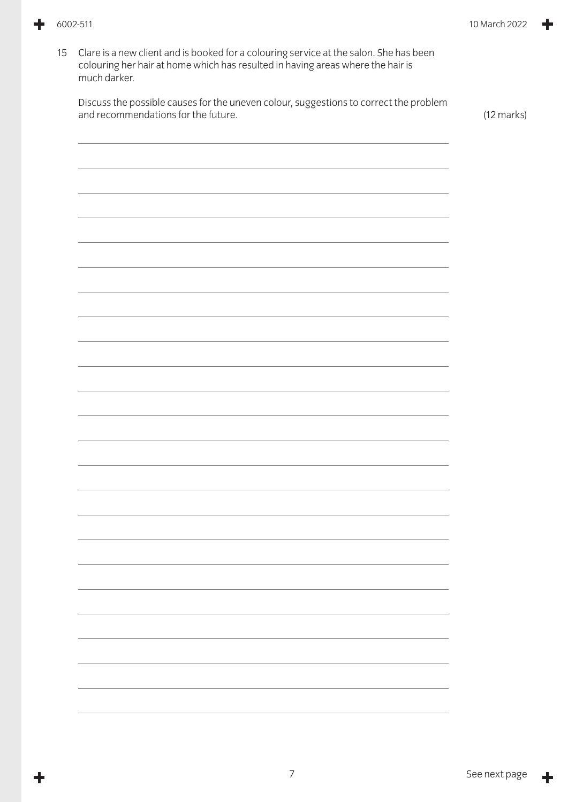15 Clare is a new client and is booked for a colouring service at the salon. She has been colouring her hair at home which has resulted in having areas where the hair is much darker. Discuss the possible causes for the uneven colour, suggestions to correct the problem and recommendations for the future.